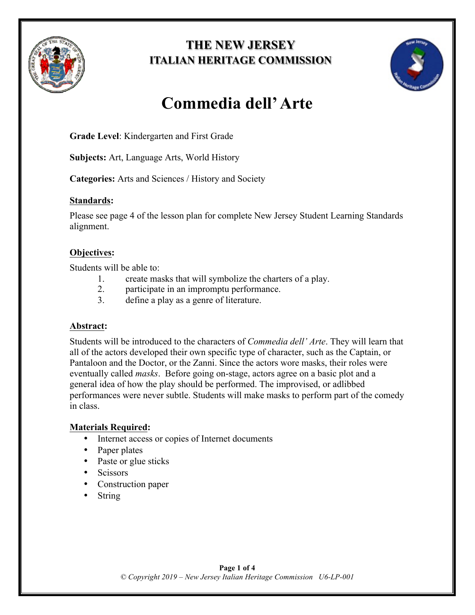

# **THE NEW JERSEY ITALIAN HERITAGE COMMISSION**



# **Commedia dell'Arte**

**Grade Level**: Kindergarten and First Grade

**Subjects:** Art, Language Arts, World History

**Categories:** Arts and Sciences / History and Society

### **Standards:**

Please see page 4 of the lesson plan for complete New Jersey Student Learning Standards alignment.

## **Objectives:**

Students will be able to:

- 1. create masks that will symbolize the charters of a play.
- 2. participate in an impromptu performance.
- 3. define a play as a genre of literature.

#### **Abstract:**

Students will be introduced to the characters of *Commedia dell' Arte*. They will learn that all of the actors developed their own specific type of character, such as the Captain, or Pantaloon and the Doctor, or the Zanni. Since the actors wore masks, their roles were eventually called *masks*. Before going on-stage, actors agree on a basic plot and a general idea of how the play should be performed. The improvised, or adlibbed performances were never subtle. Students will make masks to perform part of the comedy in class.

## **Materials Required:**

- Internet access or copies of Internet documents
- Paper plates
- Paste or glue sticks
- Scissors
- Construction paper
- String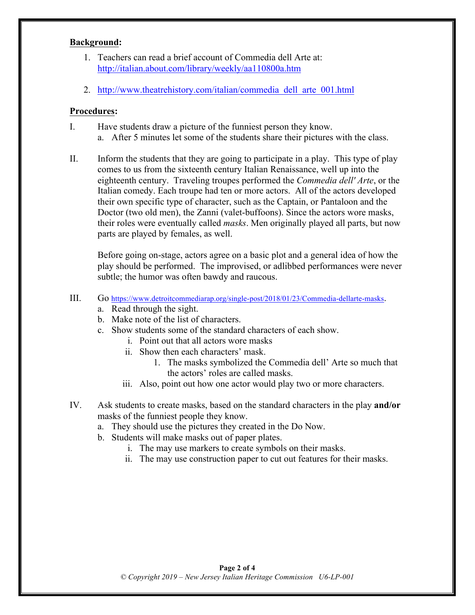#### **Background:**

- 1. Teachers can read a brief account of Commedia dell Arte at: http://italian.about.com/library/weekly/aa110800a.htm
- 2. http://www.theatrehistory.com/italian/commedia\_dell\_arte\_001.html

#### **Procedures:**

- I. Have students draw a picture of the funniest person they know. a. After 5 minutes let some of the students share their pictures with the class.
- II. Inform the students that they are going to participate in a play. This type of play comes to us from the sixteenth century Italian Renaissance, well up into the eighteenth century. Traveling troupes performed the *Commedia dell' Arte*, or the Italian comedy. Each troupe had ten or more actors. All of the actors developed their own specific type of character, such as the Captain, or Pantaloon and the Doctor (two old men), the Zanni (valet-buffoons). Since the actors wore masks, their roles were eventually called *masks*. Men originally played all parts, but now parts are played by females, as well.

Before going on-stage, actors agree on a basic plot and a general idea of how the play should be performed. The improvised, or adlibbed performances were never subtle; the humor was often bawdy and raucous.

- III. Go https://www.detroitcommediarap.org/single-post/2018/01/23/Commedia-dellarte-masks.
	- a. Read through the sight.
	- b. Make note of the list of characters.
	- c. Show students some of the standard characters of each show.
		- i. Point out that all actors wore masks
		- ii. Show then each characters' mask.
			- 1. The masks symbolized the Commedia dell' Arte so much that the actors' roles are called masks.
		- iii. Also, point out how one actor would play two or more characters.
- IV. Ask students to create masks, based on the standard characters in the play **and/or**  masks of the funniest people they know.
	- a. They should use the pictures they created in the Do Now.
	- b. Students will make masks out of paper plates.
		- i. The may use markers to create symbols on their masks.
		- ii. The may use construction paper to cut out features for their masks.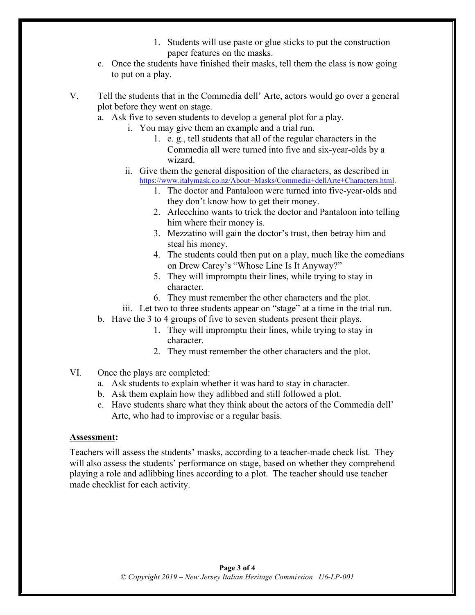- 1. Students will use paste or glue sticks to put the construction paper features on the masks.
- c. Once the students have finished their masks, tell them the class is now going to put on a play.

V. Tell the students that in the Commedia dell' Arte, actors would go over a general plot before they went on stage.

- a. Ask five to seven students to develop a general plot for a play.
	- i. You may give them an example and a trial run.
		- 1. e. g., tell students that all of the regular characters in the Commedia all were turned into five and six-year-olds by a wizard.
	- ii. Give them the general disposition of the characters, as described in https://www.italymask.co.nz/About+Masks/Commedia+dellArte+Characters.html.
		- 1. The doctor and Pantaloon were turned into five-year-olds and they don't know how to get their money.
		- 2. Arlecchino wants to trick the doctor and Pantaloon into telling him where their money is.
		- 3. Mezzatino will gain the doctor's trust, then betray him and steal his money.
		- 4. The students could then put on a play, much like the comedians on Drew Carey's "Whose Line Is It Anyway?"
		- 5. They will impromptu their lines, while trying to stay in character.
		- 6. They must remember the other characters and the plot.

iii. Let two to three students appear on "stage" at a time in the trial run.

- b. Have the 3 to 4 groups of five to seven students present their plays.
	- 1. They will impromptu their lines, while trying to stay in character.
	- 2. They must remember the other characters and the plot.
- VI. Once the plays are completed:
	- a. Ask students to explain whether it was hard to stay in character.
	- b. Ask them explain how they adlibbed and still followed a plot.
	- c. Have students share what they think about the actors of the Commedia dell' Arte, who had to improvise or a regular basis.

#### **Assessment:**

Teachers will assess the students' masks, according to a teacher-made check list. They will also assess the students' performance on stage, based on whether they comprehend playing a role and adlibbing lines according to a plot. The teacher should use teacher made checklist for each activity.